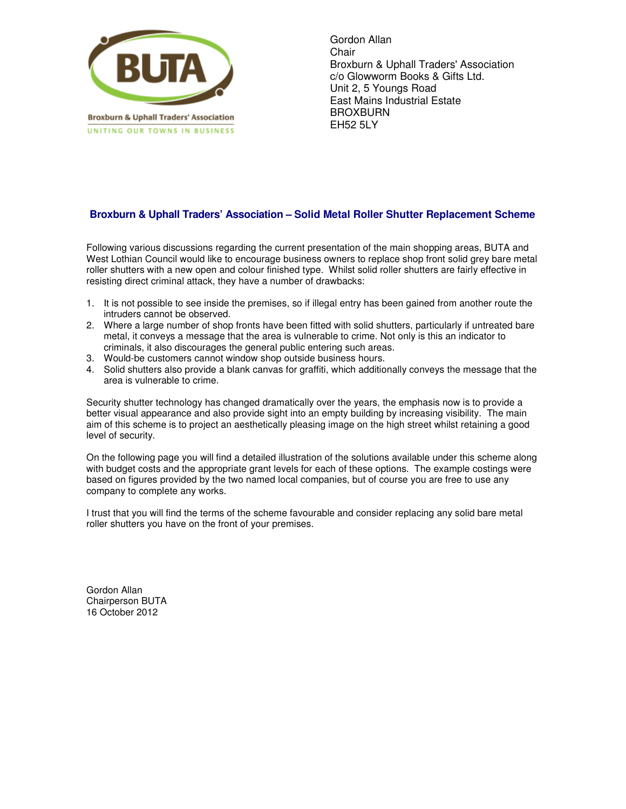

Gordon Allan **Chair** Broxburn & Uphall Traders' Association c/o Glowworm Books & Gifts Ltd. Unit 2, 5 Youngs Road East Mains Industrial Estate BROXBURN EH52 5LY

## **Broxburn & Uphall Traders' Association – Solid Metal Roller Shutter Replacement Scheme**

Following various discussions regarding the current presentation of the main shopping areas, BUTA and West Lothian Council would like to encourage business owners to replace shop front solid grey bare metal roller shutters with a new open and colour finished type. Whilst solid roller shutters are fairly effective in resisting direct criminal attack, they have a number of drawbacks:

- 1. It is not possible to see inside the premises, so if illegal entry has been gained from another route the intruders cannot be observed.
- 2. Where a large number of shop fronts have been fitted with solid shutters, particularly if untreated bare metal, it conveys a message that the area is vulnerable to crime. Not only is this an indicator to criminals, it also discourages the general public entering such areas.
- 3. Would-be customers cannot window shop outside business hours.
- 4. Solid shutters also provide a blank canvas for graffiti, which additionally conveys the message that the area is vulnerable to crime.

Security shutter technology has changed dramatically over the years, the emphasis now is to provide a better visual appearance and also provide sight into an empty building by increasing visibility. The main aim of this scheme is to project an aesthetically pleasing image on the high street whilst retaining a good level of security.

On the following page you will find a detailed illustration of the solutions available under this scheme along with budget costs and the appropriate grant levels for each of these options. The example costings were based on figures provided by the two named local companies, but of course you are free to use any company to complete any works.

I trust that you will find the terms of the scheme favourable and consider replacing any solid bare metal roller shutters you have on the front of your premises.

Gordon Allan Chairperson BUTA 16 October 2012